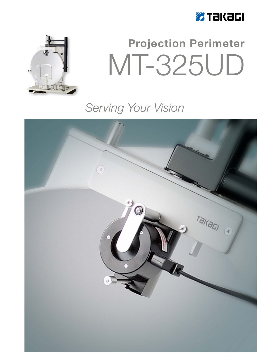



# **Projection Perimeter** MT-325UD

### Serving Your Vision

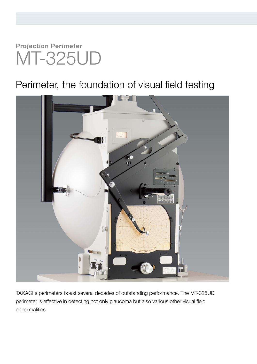## **Projection Perimeter** MT-325UD

### Perimeter, the foundation of visual field testing



TAKAGI's perimeters boast several decades of outstanding performance. The MT-325UD perimeter is effective in detecting not only glaucoma but also various other visual field abnormalities.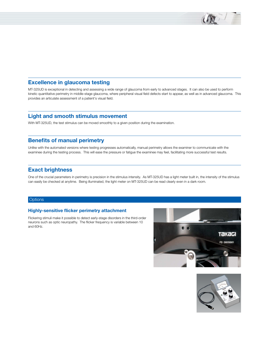#### **Excellence in glaucoma testing**

MT-325UD is exceptional in detecting and assessing a wide range of glaucoma from early to advanced stages. It can also be used to perform kinetic quantitative perimetry in middle-stage glaucoma, where peripheral visual field defects start to appear, as well as in advanced glaucoma. This provides an articulate assessment of a patient's visual field.

#### **Light and smooth stimulus movement**

With MT-325UD, the test stimulus can be moved smoothly to a given position during the examination.

#### **Benefits of manual perimetry**

Unlike with the automated versions where testing progresses automatically, manual perimetry allows the examiner to communicate with the examinee during the testing process. This will ease the pressure or fatigue the examinee may feel, facilitating more successful test results.

### **Exact brightness**

One of the crucial parameters in perimetry is precision in the stimulus intensity. As MT-325UD has a light meter built in, the intensity of the stimulus can easily be checked at anytime. Being illuminated, the light meter on MT-325UD can be read clearly even in a dark room.

#### **Options**

#### **Highly-sensitive flicker perimetry attachment**

Flickering stimuli make it possible to detect early-stage disorders in the third-order neurons such as optic neuropathy. The flicker frequency is variable between 10 and 60Hz.